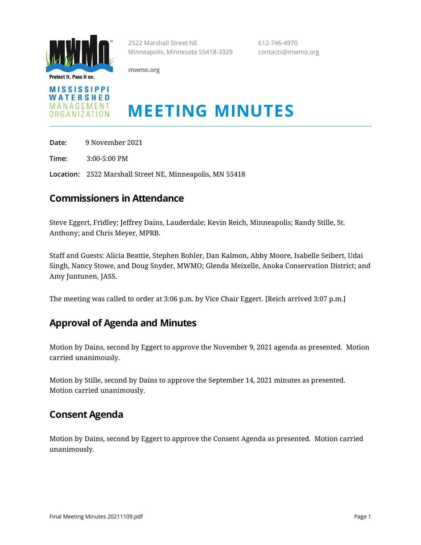

Protect it. Pass it on.

**mwmo.org**



# **MEETING MINUTES**

2522 Marshall Street NE 612-746-4970 Minneapolis, Minnesota 55418-3329 contacts@mwmo.org

**Date:** 9 November 2021

**Time:** 3:00-5:00 PM

**Location:** 2522 Marshall Street NE, Minneapolis, MN 55418

#### **Commissioners in Attendance**

Steve Eggert, Fridley; Jeffrey Dains, Lauderdale; Kevin Reich, Minneapolis; Randy Stille, St. Anthony; and Chris Meyer, MPRB.

Staff and Guests: Alicia Beattie, Stephen Bohler, Dan Kalmon, Abby Moore, Isabelle Seibert, Udai Singh, Nancy Stowe, and Doug Snyder, MWMO; Glenda Meixelle, Anoka Conservation District; and Amy Juntunen, JASS.

The meeting was called to order at 3:06 p.m. by Vice Chair Eggert. [Reich arrived 3:07 p.m.]

#### **Approval of Agenda and Minutes**

Motion by Dains, second by Eggert to approve the November 9, 2021 agenda as presented. Motion carried unanimously.

Motion by Stille, second by Dains to approve the September 14, 2021 minutes as presented. Motion carried unanimously.

#### **Consent Agenda**

Motion by Dains, second by Eggert to approve the Consent Agenda as presented. Motion carried unanimously.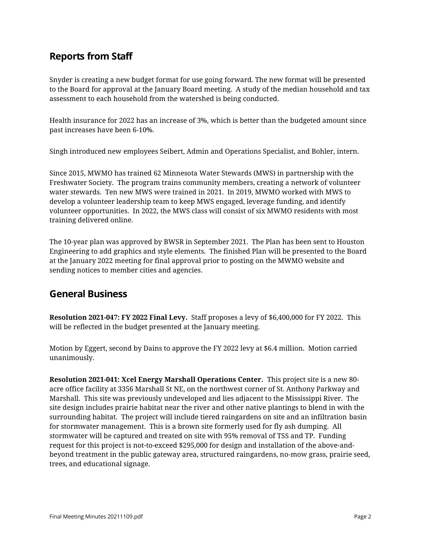# **Reports from Staff**

Snyder is creating a new budget format for use going forward. The new format will be presented to the Board for approval at the January Board meeting. A study of the median household and tax assessment to each household from the watershed is being conducted.

Health insurance for 2022 has an increase of 3%, which is better than the budgeted amount since past increases have been 6-10%.

Singh introduced new employees Seibert, Admin and Operations Specialist, and Bohler, intern.

Since 2015, MWMO has trained 62 Minnesota Water Stewards (MWS) in partnership with the Freshwater Society. The program trains community members, creating a network of volunteer water stewards. Ten new MWS were trained in 2021. In 2019, MWMO worked with MWS to develop a volunteer leadership team to keep MWS engaged, leverage funding, and identify volunteer opportunities. In 2022, the MWS class will consist of six MWMO residents with most training delivered online.

The 10-year plan was approved by BWSR in September 2021. The Plan has been sent to Houston Engineering to add graphics and style elements. The finished Plan will be presented to the Board at the January 2022 meeting for final approval prior to posting on the MWMO website and sending notices to member cities and agencies.

#### **General Business**

**Resolution 2021-047: FY 2022 Final Levy.** Staff proposes a levy of \$6,400,000 for FY 2022. This will be reflected in the budget presented at the January meeting.

Motion by Eggert, second by Dains to approve the FY 2022 levy at \$6.4 million. Motion carried unanimously.

**Resolution 2021-041: Xcel Energy Marshall Operations Center.** This project site is a new 80 acre office facility at 3356 Marshall St NE, on the northwest corner of St. Anthony Parkway and Marshall. This site was previously undeveloped and lies adjacent to the Mississippi River. The site design includes prairie habitat near the river and other native plantings to blend in with the surrounding habitat. The project will include tiered raingardens on site and an infiltration basin for stormwater management. This is a brown site formerly used for fly ash dumping. All stormwater will be captured and treated on site with 95% removal of TSS and TP. Funding request for this project is not-to-exceed \$295,000 for design and installation of the above-andbeyond treatment in the public gateway area, structured raingardens, no-mow grass, prairie seed, trees, and educational signage.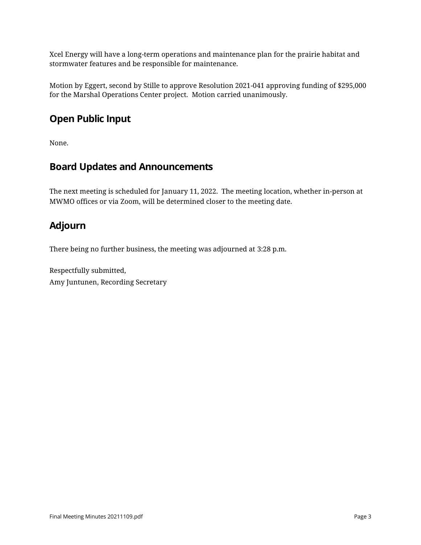Xcel Energy will have a long-term operations and maintenance plan for the prairie habitat and stormwater features and be responsible for maintenance.

Motion by Eggert, second by Stille to approve Resolution 2021-041 approving funding of \$295,000 for the Marshal Operations Center project. Motion carried unanimously.

# **Open Public Input**

None.

#### **Board Updates and Announcements**

The next meeting is scheduled for January 11, 2022. The meeting location, whether in-person at MWMO offices or via Zoom, will be determined closer to the meeting date.

# **Adjourn**

There being no further business, the meeting was adjourned at 3:28 p.m.

Respectfully submitted, Amy Juntunen, Recording Secretary